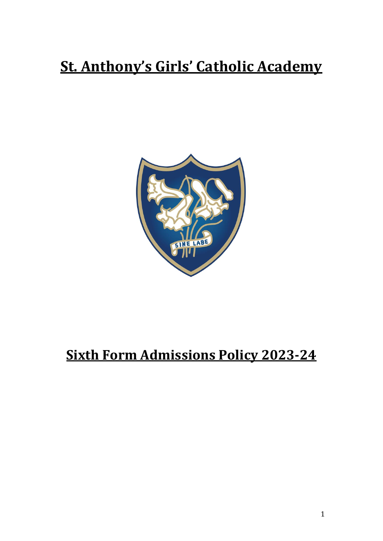# **St. Anthony's Girls' Catholic Academy**



# **Sixth Form Admissions Policy 2023-24**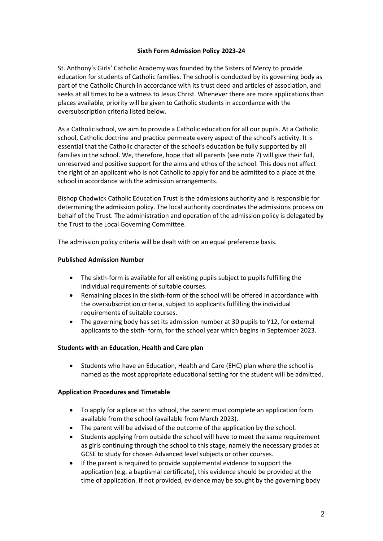#### **Sixth Form Admission Policy 2023-24**

St. Anthony's Girls' Catholic Academy was founded by the Sisters of Mercy to provide education for students of Catholic families. The school is conducted by its governing body as part of the Catholic Church in accordance with its trust deed and articles of association, and seeks at all times to be a witness to Jesus Christ. Whenever there are more applications than places available, priority will be given to Catholic students in accordance with the oversubscription criteria listed below.

As a Catholic school, we aim to provide a Catholic education for all our pupils. At a Catholic school, Catholic doctrine and practice permeate every aspect of the school's activity. It is essential that the Catholic character of the school's education be fully supported by all families in the school. We, therefore, hope that all parents (see note 7) will give their full, unreserved and positive support for the aims and ethos of the school. This does not affect the right of an applicant who is not Catholic to apply for and be admitted to a place at the school in accordance with the admission arrangements.

Bishop Chadwick Catholic Education Trust is the admissions authority and is responsible for determining the admission policy. The local authority coordinates the admissions process on behalf of the Trust. The administration and operation of the admission policy is delegated by the Trust to the Local Governing Committee.

The admission policy criteria will be dealt with on an equal preference basis.

#### **Published Admission Number**

- The sixth-form is available for all existing pupils subject to pupils fulfilling the individual requirements of suitable courses.
- Remaining places in the sixth-form of the school will be offered in accordance with the oversubscription criteria, subject to applicants fulfilling the individual requirements of suitable courses.
- The governing body has set its admission number at 30 pupils to Y12, for external applicants to the sixth- form, for the school year which begins in September 2023.

#### **Students with an Education, Health and Care plan**

 Students who have an Education, Health and Care (EHC) plan where the school is named as the most appropriate educational setting for the student will be admitted.

#### **Application Procedures and Timetable**

- To apply for a place at this school, the parent must complete an application form available from the school (available from March 2023).
- The parent will be advised of the outcome of the application by the school.
- Students applying from outside the school will have to meet the same requirement as girls continuing through the school to this stage, namely the necessary grades at GCSE to study for chosen Advanced level subjects or other courses.
- If the parent is required to provide supplemental evidence to support the application (e.g. a baptismal certificate), this evidence should be provided at the time of application. If not provided, evidence may be sought by the governing body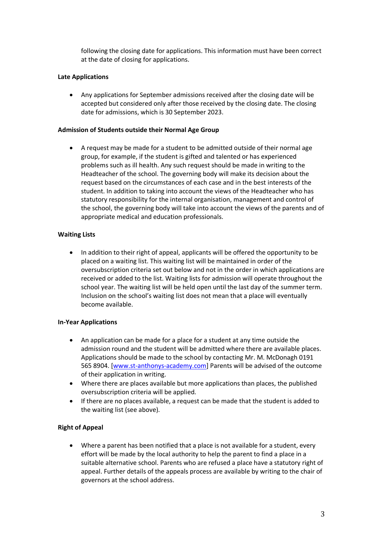following the closing date for applications. This information must have been correct at the date of closing for applications.

### **Late Applications**

 Any applications for September admissions received after the closing date will be accepted but considered only after those received by the closing date. The closing date for admissions, which is 30 September 2023.

#### **Admission of Students outside their Normal Age Group**

 A request may be made for a student to be admitted outside of their normal age group, for example, if the student is gifted and talented or has experienced problems such as ill health. Any such request should be made in writing to the Headteacher of the school. The governing body will make its decision about the request based on the circumstances of each case and in the best interests of the student. In addition to taking into account the views of the Headteacher who has statutory responsibility for the internal organisation, management and control of the school, the governing body will take into account the views of the parents and of appropriate medical and education professionals.

# **Waiting Lists**

 In addition to their right of appeal, applicants will be offered the opportunity to be placed on a waiting list. This waiting list will be maintained in order of the oversubscription criteria set out below and not in the order in which applications are received or added to the list. Waiting lists for admission will operate throughout the school year. The waiting list will be held open until the last day of the summer term. Inclusion on the school's waiting list does not mean that a place will eventually become available.

#### **In-Year Applications**

- An application can be made for a place for a student at any time outside the admission round and the student will be admitted where there are available places. Applications should be made to the school by contacting Mr. M. McDonagh 0191 565 8904. [\[www.st-anthonys-academy.com\]](http://www.st-anthonys-academy.com/) Parents will be advised of the outcome of their application in writing.
- Where there are places available but more applications than places, the published oversubscription criteria will be applied.
- If there are no places available, a request can be made that the student is added to the waiting list (see above).

# **Right of Appeal**

 Where a parent has been notified that a place is not available for a student, every effort will be made by the local authority to help the parent to find a place in a suitable alternative school. Parents who are refused a place have a statutory right of appeal. Further details of the appeals process are available by writing to the chair of governors at the school address.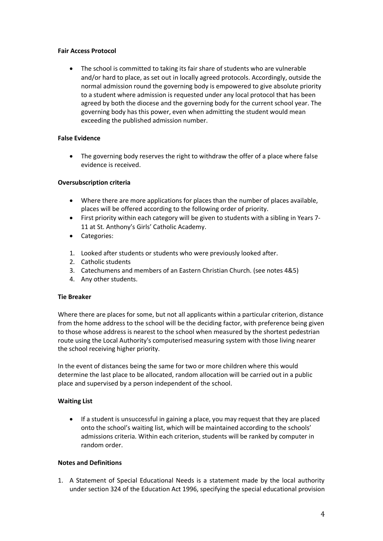#### **Fair Access Protocol**

 The school is committed to taking its fair share of students who are vulnerable and/or hard to place, as set out in locally agreed protocols. Accordingly, outside the normal admission round the governing body is empowered to give absolute priority to a student where admission is requested under any local protocol that has been agreed by both the diocese and the governing body for the current school year. The governing body has this power, even when admitting the student would mean exceeding the published admission number.

# **False Evidence**

 The governing body reserves the right to withdraw the offer of a place where false evidence is received.

# **Oversubscription criteria**

- Where there are more applications for places than the number of places available, places will be offered according to the following order of priority.
- First priority within each category will be given to students with a sibling in Years 7- 11 at St. Anthony's Girls' Catholic Academy.
- Categories:
- 1. Looked after students or students who were previously looked after.
- 2. Catholic students
- 3. Catechumens and members of an Eastern Christian Church. (see notes 4&5)
- 4. Any other students.

#### **Tie Breaker**

Where there are places for some, but not all applicants within a particular criterion, distance from the home address to the school will be the deciding factor, with preference being given to those whose address is nearest to the school when measured by the shortest pedestrian route using the Local Authority's computerised measuring system with those living nearer the school receiving higher priority.

In the event of distances being the same for two or more children where this would determine the last place to be allocated, random allocation will be carried out in a public place and supervised by a person independent of the school.

#### **Waiting List**

 If a student is unsuccessful in gaining a place, you may request that they are placed onto the school's waiting list, which will be maintained according to the schools' admissions criteria. Within each criterion, students will be ranked by computer in random order.

#### **Notes and Definitions**

1. A Statement of Special Educational Needs is a statement made by the local authority under section 324 of the Education Act 1996, specifying the special educational provision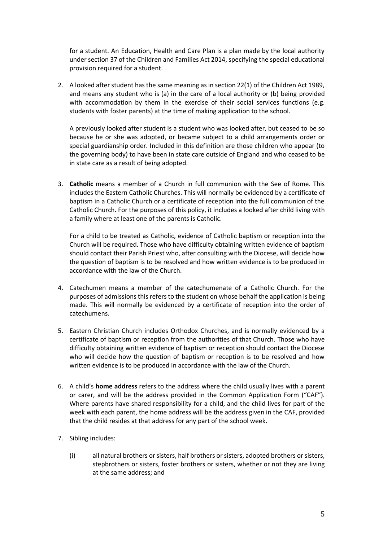for a student. An Education, Health and Care Plan is a plan made by the local authority under section 37 of the Children and Families Act 2014, specifying the special educational provision required for a student.

2. A looked after student has the same meaning as in section 22(1) of the Children Act 1989, and means any student who is (a) in the care of a local authority or (b) being provided with accommodation by them in the exercise of their social services functions (e.g. students with foster parents) at the time of making application to the school.

A previously looked after student is a student who was looked after, but ceased to be so because he or she was adopted, or became subject to a child arrangements order or special guardianship order. Included in this definition are those children who appear (to the governing body) to have been in state care outside of England and who ceased to be in state care as a result of being adopted.

3. **Catholic** means a member of a Church in full communion with the See of Rome. This includes the Eastern Catholic Churches. This will normally be evidenced by a certificate of baptism in a Catholic Church or a certificate of reception into the full communion of the Catholic Church. For the purposes of this policy, it includes a looked after child living with a family where at least one of the parents is Catholic.

For a child to be treated as Catholic, evidence of Catholic baptism or reception into the Church will be required. Those who have difficulty obtaining written evidence of baptism should contact their Parish Priest who, after consulting with the Diocese, will decide how the question of baptism is to be resolved and how written evidence is to be produced in accordance with the law of the Church.

- 4. Catechumen means a member of the catechumenate of a Catholic Church. For the purposes of admissions this refers to the student on whose behalf the application is being made. This will normally be evidenced by a certificate of reception into the order of catechumens.
- 5. Eastern Christian Church includes Orthodox Churches, and is normally evidenced by a certificate of baptism or reception from the authorities of that Church. Those who have difficulty obtaining written evidence of baptism or reception should contact the Diocese who will decide how the question of baptism or reception is to be resolved and how written evidence is to be produced in accordance with the law of the Church.
- 6. A child's **home address** refers to the address where the child usually lives with a parent or carer, and will be the address provided in the Common Application Form ("CAF"). Where parents have shared responsibility for a child, and the child lives for part of the week with each parent, the home address will be the address given in the CAF, provided that the child resides at that address for any part of the school week.
- 7. Sibling includes:
	- (i) all natural brothers or sisters, half brothers or sisters, adopted brothers or sisters, stepbrothers or sisters, foster brothers or sisters, whether or not they are living at the same address; and